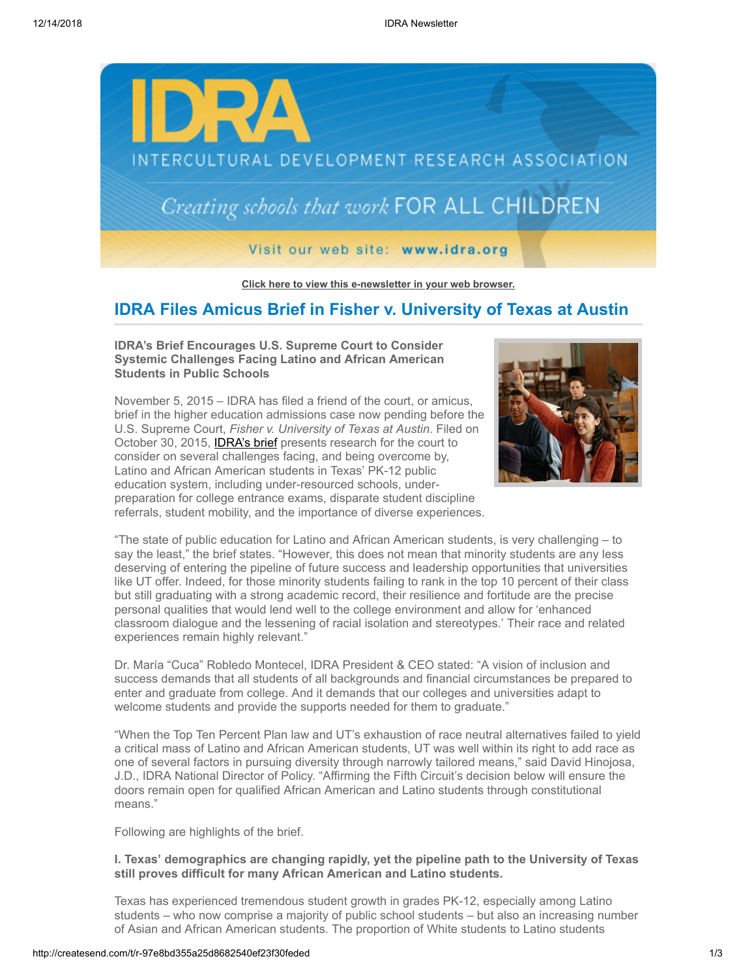

**[Click here to view this e-newsletter in your web browser.](http://newsletter.impulsedevelopment.com/t/r-e-zdlithl-l-r/)**

## **IDRA Files Amicus Brief in Fisher v. University of Texas at Austin**

#### **IDRA's Brief Encourages U.S. Supreme Court to Consider Systemic Challenges Facing Latino and African American Students in Public Schools**



November 5, 2015 – IDRA has filed a friend of the court, or amicus, brief in the higher education admissions case now pending before the U.S. Supreme Court, *Fisher v. University of Texas at Austin*. Filed on October 30, 2015, **IDRA's brief** presents research for the court to consider on several challenges facing, and being overcome by, Latino and African American students in Texas' PK-12 public education system, including under-resourced schools, underpreparation for college entrance exams, disparate student discipline referrals, student mobility, and the importance of diverse experiences.

"The state of public education for Latino and African American students, is very challenging – to say the least," the brief states. "However, this does not mean that minority students are any less deserving of entering the pipeline of future success and leadership opportunities that universities like UT offer. Indeed, for those minority students failing to rank in the top 10 percent of their class but still graduating with a strong academic record, their resilience and fortitude are the precise personal qualities that would lend well to the college environment and allow for 'enhanced classroom dialogue and the lessening of racial isolation and stereotypes.' Their race and related experiences remain highly relevant."

Dr. María "Cuca" Robledo Montecel, IDRA President & CEO stated: "A vision of inclusion and success demands that all students of all backgrounds and financial circumstances be prepared to enter and graduate from college. And it demands that our colleges and universities adapt to welcome students and provide the supports needed for them to graduate."

"When the Top Ten Percent Plan law and UT's exhaustion of race neutral alternatives failed to yield a critical mass of Latino and African American students, UT was well within its right to add race as one of several factors in pursuing diversity through narrowly tailored means," said David Hinojosa, J.D., IDRA National Director of Policy. "Affirming the Fifth Circuit's decision below will ensure the doors remain open for qualified African American and Latino students through constitutional means."

Following are highlights of the brief.

### **I. Texas' demographics are changing rapidly, yet the pipeline path to the University of Texas still proves difficult for many African American and Latino students.**

Texas has experienced tremendous student growth in grades PK-12, especially among Latino students – who now comprise a majority of public school students – but also an increasing number of Asian and African American students. The proportion of White students to Latino students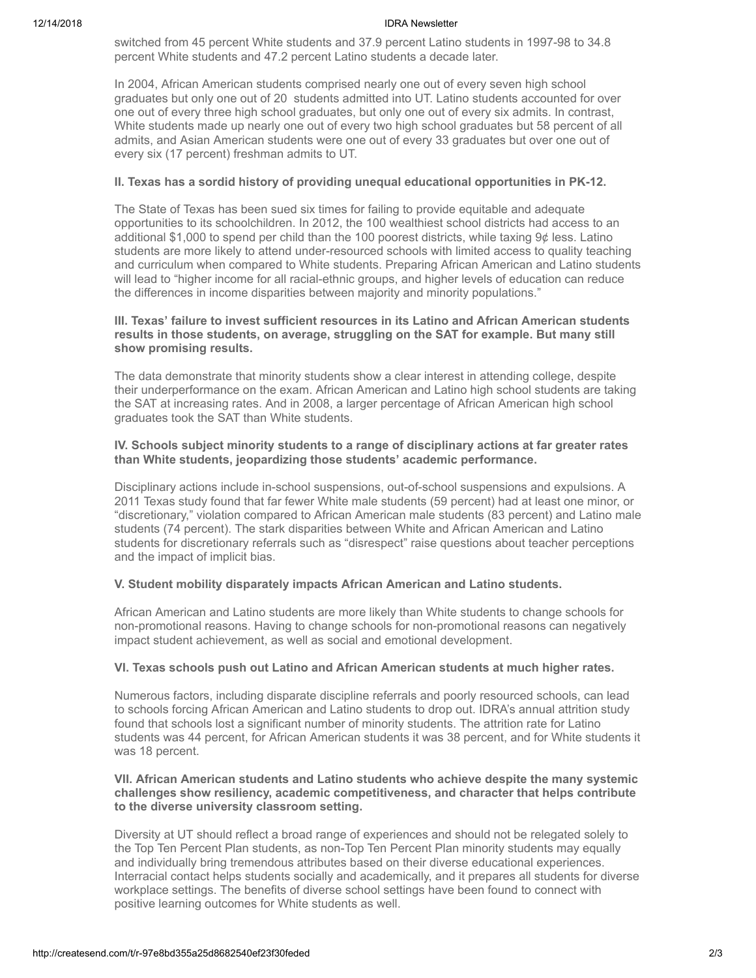#### 12/14/2018 IDRA Newsletter

switched from 45 percent White students and 37.9 percent Latino students in 1997-98 to 34.8 percent White students and 47.2 percent Latino students a decade later.

In 2004, African American students comprised nearly one out of every seven high school graduates but only one out of 20 students admitted into UT. Latino students accounted for over one out of every three high school graduates, but only one out of every six admits. In contrast, White students made up nearly one out of every two high school graduates but 58 percent of all admits, and Asian American students were one out of every 33 graduates but over one out of every six (17 percent) freshman admits to UT.

#### **II. Texas has a sordid history of providing unequal educational opportunities in PK-12.**

The State of Texas has been sued six times for failing to provide equitable and adequate opportunities to its schoolchildren. In 2012, the 100 wealthiest school districts had access to an additional \$1,000 to spend per child than the 100 poorest districts, while taxing 9¢ less. Latino students are more likely to attend under-resourced schools with limited access to quality teaching and curriculum when compared to White students. Preparing African American and Latino students will lead to "higher income for all racial-ethnic groups, and higher levels of education can reduce the differences in income disparities between majority and minority populations."

#### **III. Texas' failure to invest sufficient resources in its Latino and African American students results in those students, on average, struggling on the SAT for example. But many still show promising results.**

The data demonstrate that minority students show a clear interest in attending college, despite their underperformance on the exam. African American and Latino high school students are taking the SAT at increasing rates. And in 2008, a larger percentage of African American high school graduates took the SAT than White students.

#### **IV. Schools subject minority students to a range of disciplinary actions at far greater rates than White students, jeopardizing those students' academic performance.**

Disciplinary actions include in-school suspensions, out-of-school suspensions and expulsions. A 2011 Texas study found that far fewer White male students (59 percent) had at least one minor, or "discretionary," violation compared to African American male students (83 percent) and Latino male students (74 percent). The stark disparities between White and African American and Latino students for discretionary referrals such as "disrespect" raise questions about teacher perceptions and the impact of implicit bias.

### **V. Student mobility disparately impacts African American and Latino students.**

African American and Latino students are more likely than White students to change schools for non-promotional reasons. Having to change schools for non-promotional reasons can negatively impact student achievement, as well as social and emotional development.

### **VI. Texas schools push out Latino and African American students at much higher rates.**

Numerous factors, including disparate discipline referrals and poorly resourced schools, can lead to schools forcing African American and Latino students to drop out. IDRA's annual attrition study found that schools lost a significant number of minority students. The attrition rate for Latino students was 44 percent, for African American students it was 38 percent, and for White students it was 18 percent.

#### **VII. African American students and Latino students who achieve despite the many systemic challenges show resiliency, academic competitiveness, and character that helps contribute to the diverse university classroom setting.**

Diversity at UT should reflect a broad range of experiences and should not be relegated solely to the Top Ten Percent Plan students, as non-Top Ten Percent Plan minority students may equally and individually bring tremendous attributes based on their diverse educational experiences. Interracial contact helps students socially and academically, and it prepares all students for diverse workplace settings. The benefits of diverse school settings have been found to connect with positive learning outcomes for White students as well.